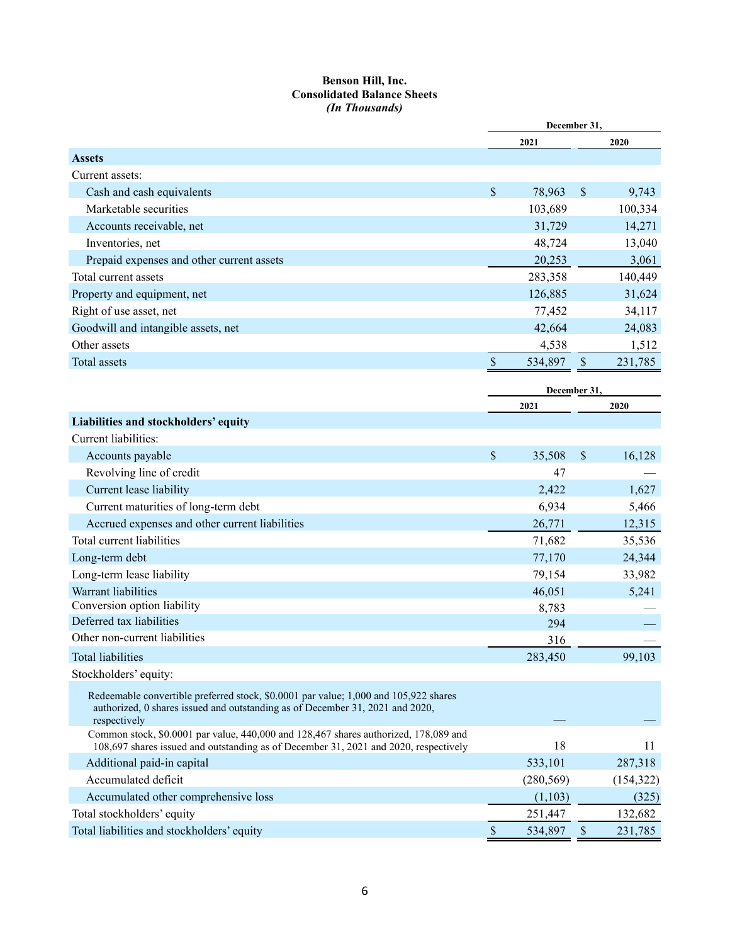#### **Benson Hill, Inc. Consolidated Balance Sheets** *(In Thousands)*

|                                                                                                                                                                                       | December 31,  |              |                           |            |
|---------------------------------------------------------------------------------------------------------------------------------------------------------------------------------------|---------------|--------------|---------------------------|------------|
|                                                                                                                                                                                       |               | 2021         |                           | 2020       |
| <b>Assets</b>                                                                                                                                                                         |               |              |                           |            |
| Current assets:                                                                                                                                                                       |               |              |                           |            |
| Cash and cash equivalents                                                                                                                                                             | \$            | 78,963       | \$                        | 9,743      |
| Marketable securities                                                                                                                                                                 |               | 103,689      |                           | 100,334    |
| Accounts receivable, net                                                                                                                                                              |               | 31,729       |                           | 14,271     |
| Inventories, net                                                                                                                                                                      |               | 48,724       |                           | 13,040     |
| Prepaid expenses and other current assets                                                                                                                                             |               | 20,253       |                           | 3,061      |
| Total current assets                                                                                                                                                                  |               | 283,358      |                           | 140,449    |
| Property and equipment, net                                                                                                                                                           |               | 126,885      |                           | 31,624     |
| Right of use asset, net                                                                                                                                                               |               | 77,452       |                           | 34,117     |
| Goodwill and intangible assets, net                                                                                                                                                   |               | 42,664       |                           | 24,083     |
| Other assets                                                                                                                                                                          |               | 4,538        |                           | 1,512      |
| Total assets                                                                                                                                                                          | $\mathcal{S}$ | 534,897      | $\boldsymbol{\mathsf{S}}$ | 231,785    |
|                                                                                                                                                                                       |               |              |                           |            |
|                                                                                                                                                                                       |               | December 31. |                           |            |
|                                                                                                                                                                                       |               | 2021         |                           | 2020       |
| Liabilities and stockholders' equity                                                                                                                                                  |               |              |                           |            |
| Current liabilities:                                                                                                                                                                  |               |              |                           |            |
| Accounts payable                                                                                                                                                                      | $\mathbb{S}$  | 35,508       | \$                        | 16,128     |
| Revolving line of credit                                                                                                                                                              |               | 47           |                           |            |
| Current lease liability                                                                                                                                                               |               | 2,422        |                           | 1,627      |
| Current maturities of long-term debt                                                                                                                                                  |               | 6,934        |                           | 5,466      |
| Accrued expenses and other current liabilities                                                                                                                                        |               | 26,771       |                           | 12,315     |
| Total current liabilities                                                                                                                                                             |               | 71,682       |                           | 35,536     |
| Long-term debt                                                                                                                                                                        |               | 77,170       |                           | 24,344     |
| Long-term lease liability                                                                                                                                                             |               | 79,154       |                           | 33,982     |
| Warrant liabilities                                                                                                                                                                   |               | 46,051       |                           | 5,241      |
| Conversion option liability                                                                                                                                                           |               | 8,783        |                           |            |
| Deferred tax liabilities                                                                                                                                                              |               | 294          |                           |            |
| Other non-current liabilities                                                                                                                                                         |               | 316          |                           |            |
| <b>Total liabilities</b>                                                                                                                                                              |               | 283,450      |                           | 99,103     |
| Stockholders' equity:                                                                                                                                                                 |               |              |                           |            |
| Redeemable convertible preferred stock, \$0.0001 par value; 1,000 and 105,922 shares<br>authorized, 0 shares issued and outstanding as of December 31, 2021 and 2020,<br>respectively |               |              |                           |            |
| Common stock, \$0.0001 par value, 440,000 and 128,467 shares authorized, 178,089 and<br>108,697 shares issued and outstanding as of December 31, 2021 and 2020, respectively          |               | 18           |                           | 11         |
| Additional paid-in capital                                                                                                                                                            |               | 533,101      |                           | 287,318    |
| Accumulated deficit                                                                                                                                                                   |               | (280, 569)   |                           | (154, 322) |
| Accumulated other comprehensive loss                                                                                                                                                  |               | (1,103)      |                           | (325)      |
| Total stockholders' equity                                                                                                                                                            |               | 251,447      |                           | 132,682    |
| Total liabilities and stockholders' equity                                                                                                                                            | $\$$          | 534,897      | $\mathbb S$               | 231,785    |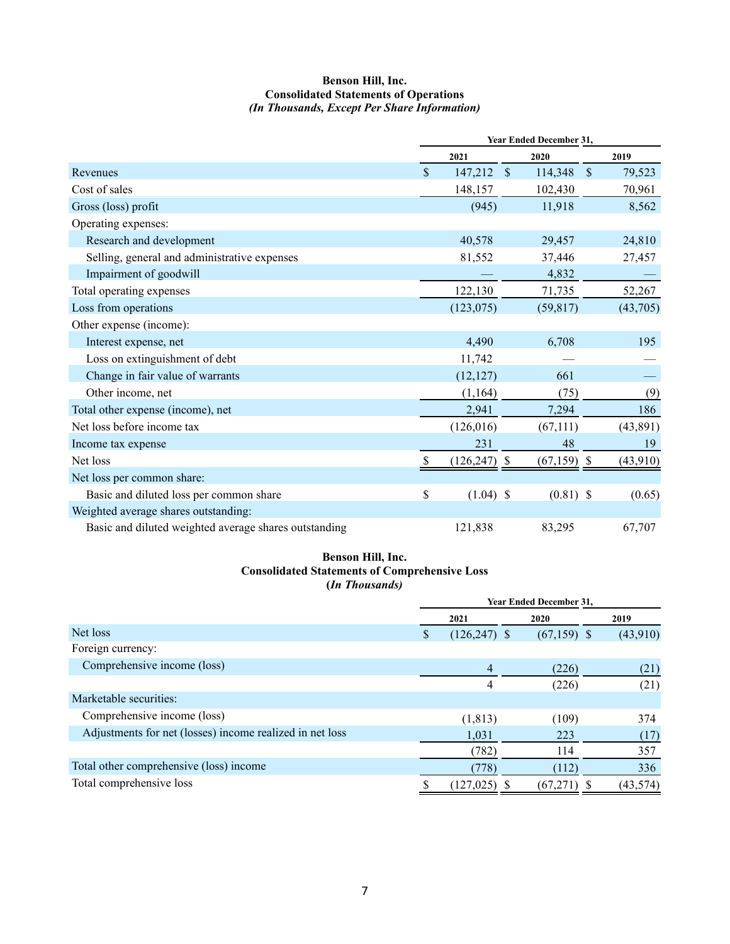#### **Benson Hill, Inc. Consolidated Statements of Operations** *(In Thousands, Except Per Share Information)*

|                                                       | <b>Year Ended December 31,</b> |               |               |            |           |
|-------------------------------------------------------|--------------------------------|---------------|---------------|------------|-----------|
|                                                       | 2021                           |               | 2020          |            | 2019      |
| Revenues                                              | \$<br>147,212                  | $\mathcal{S}$ | 114,348       | $\sqrt{S}$ | 79,523    |
| Cost of sales                                         | 148,157                        |               | 102,430       |            | 70,961    |
| Gross (loss) profit                                   | (945)                          |               | 11,918        |            | 8,562     |
| Operating expenses:                                   |                                |               |               |            |           |
| Research and development                              | 40,578                         |               | 29,457        |            | 24,810    |
| Selling, general and administrative expenses          | 81,552                         |               | 37,446        |            | 27,457    |
| Impairment of goodwill                                |                                |               | 4,832         |            |           |
| Total operating expenses                              | 122,130                        |               | 71,735        |            | 52,267    |
| Loss from operations                                  | (123,075)                      |               | (59, 817)     |            | (43,705)  |
| Other expense (income):                               |                                |               |               |            |           |
| Interest expense, net                                 | 4,490                          |               | 6,708         |            | 195       |
| Loss on extinguishment of debt                        | 11,742                         |               |               |            |           |
| Change in fair value of warrants                      | (12, 127)                      |               | 661           |            |           |
| Other income, net                                     | (1,164)                        |               | (75)          |            | (9)       |
| Total other expense (income), net                     | 2,941                          |               | 7,294         |            | 186       |
| Net loss before income tax                            | (126,016)                      |               | (67, 111)     |            | (43, 891) |
| Income tax expense                                    | 231                            |               | 48            |            | 19        |
| Net loss                                              | $(126, 247)$ \$                |               | $(67,159)$ \$ |            | (43,910)  |
| Net loss per common share:                            |                                |               |               |            |           |
| Basic and diluted loss per common share               | \$<br>$(1.04)$ \$              |               | $(0.81)$ \$   |            | (0.65)    |
| Weighted average shares outstanding:                  |                                |               |               |            |           |
| Basic and diluted weighted average shares outstanding | 121,838                        |               | 83,295        |            | 67,707    |

# **Benson Hill, Inc. Consolidated Statements of Comprehensive Loss (***In Thousands)*

|                                                          | <b>Year Ended December 31,</b> |  |               |  |           |
|----------------------------------------------------------|--------------------------------|--|---------------|--|-----------|
|                                                          | 2021                           |  | 2020          |  | 2019      |
| Net loss                                                 | $(126, 247)$ \$                |  | $(67,159)$ \$ |  | (43,910)  |
| Foreign currency:                                        |                                |  |               |  |           |
| Comprehensive income (loss)                              | 4                              |  | (226)         |  | (21)      |
|                                                          |                                |  | (226)         |  | (21)      |
| Marketable securities:                                   |                                |  |               |  |           |
| Comprehensive income (loss)                              | (1, 813)                       |  | (109)         |  | 374       |
| Adjustments for net (losses) income realized in net loss | 1,031                          |  | 223           |  | (17)      |
|                                                          | (782)                          |  | 114           |  | 357       |
| Total other comprehensive (loss) income                  | (778)                          |  | (112)         |  | 336       |
| Total comprehensive loss                                 | (127, 025)                     |  | (67,271)      |  | (43, 574) |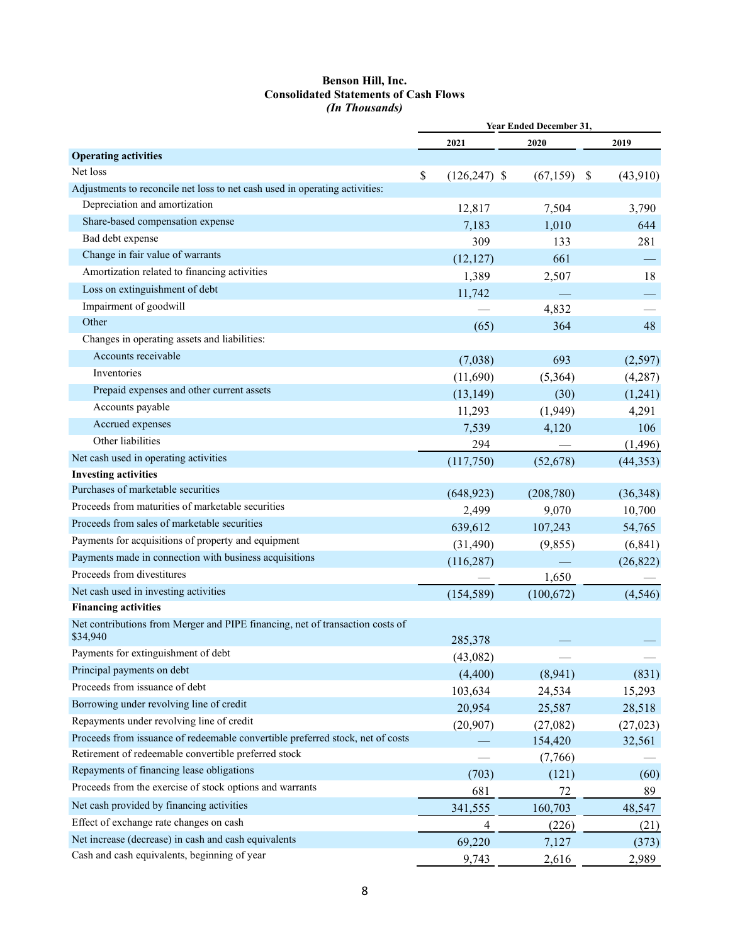#### **Benson Hill, Inc. Consolidated Statements of Cash Flows** *(In Thousands)*

|                                                                                | Year Ended December 31, |            |                 |  |
|--------------------------------------------------------------------------------|-------------------------|------------|-----------------|--|
|                                                                                | 2021                    | 2020       | 2019            |  |
| <b>Operating activities</b>                                                    |                         |            |                 |  |
| Net loss                                                                       | \$<br>$(126, 247)$ \$   | (67, 159)  | -\$<br>(43,910) |  |
| Adjustments to reconcile net loss to net cash used in operating activities:    |                         |            |                 |  |
| Depreciation and amortization                                                  | 12,817                  | 7,504      | 3,790           |  |
| Share-based compensation expense                                               | 7,183                   | 1,010      | 644             |  |
| Bad debt expense                                                               | 309                     | 133        | 281             |  |
| Change in fair value of warrants                                               | (12, 127)               | 661        |                 |  |
| Amortization related to financing activities                                   | 1,389                   | 2,507      | 18              |  |
| Loss on extinguishment of debt                                                 | 11,742                  |            |                 |  |
| Impairment of goodwill                                                         |                         | 4,832      |                 |  |
| Other                                                                          | (65)                    | 364        | 48              |  |
| Changes in operating assets and liabilities:                                   |                         |            |                 |  |
| Accounts receivable                                                            | (7,038)                 | 693        | (2,597)         |  |
| Inventories                                                                    | (11,690)                | (5,364)    | (4,287)         |  |
| Prepaid expenses and other current assets                                      | (13, 149)               | (30)       | (1,241)         |  |
| Accounts payable                                                               | 11,293                  | (1,949)    | 4,291           |  |
| Accrued expenses                                                               | 7,539                   | 4,120      | 106             |  |
| Other liabilities                                                              | 294                     |            | (1, 496)        |  |
| Net cash used in operating activities                                          | (117,750)               | (52,678)   | (44, 353)       |  |
| <b>Investing activities</b>                                                    |                         |            |                 |  |
| Purchases of marketable securities                                             | (648, 923)              | (208,780)  | (36,348)        |  |
| Proceeds from maturities of marketable securities                              | 2,499                   | 9,070      | 10,700          |  |
| Proceeds from sales of marketable securities                                   | 639,612                 | 107,243    | 54,765          |  |
| Payments for acquisitions of property and equipment                            | (31, 490)               | (9,855)    | (6, 841)        |  |
| Payments made in connection with business acquisitions                         | (116, 287)              |            | (26,822)        |  |
| Proceeds from divestitures                                                     |                         | 1,650      |                 |  |
| Net cash used in investing activities                                          | (154, 589)              | (100, 672) | (4,546)         |  |
| <b>Financing activities</b>                                                    |                         |            |                 |  |
| Net contributions from Merger and PIPE financing, net of transaction costs of  |                         |            |                 |  |
| \$34,940                                                                       | 285,378                 |            |                 |  |
| Payments for extinguishment of debt                                            | (43,082)                |            |                 |  |
| Principal payments on debt                                                     | (4,400)                 | (8,941)    | (831)           |  |
| Proceeds from issuance of debt                                                 | 103,634                 | 24,534     | 15,293          |  |
| Borrowing under revolving line of credit                                       | 20,954                  | 25,587     | 28,518          |  |
| Repayments under revolving line of credit                                      | (20, 907)               | (27,082)   | (27, 023)       |  |
| Proceeds from issuance of redeemable convertible preferred stock, net of costs |                         | 154,420    | 32,561          |  |
| Retirement of redeemable convertible preferred stock                           |                         | (7,766)    |                 |  |
| Repayments of financing lease obligations                                      | (703)                   | (121)      | (60)            |  |
| Proceeds from the exercise of stock options and warrants                       | 681                     | 72         | 89              |  |
| Net cash provided by financing activities                                      | 341,555                 | 160,703    | 48,547          |  |
| Effect of exchange rate changes on cash                                        | 4                       | (226)      | (21)            |  |
| Net increase (decrease) in cash and cash equivalents                           | 69,220                  | 7,127      | (373)           |  |
| Cash and cash equivalents, beginning of year                                   | 9,743                   | 2,616      | 2,989           |  |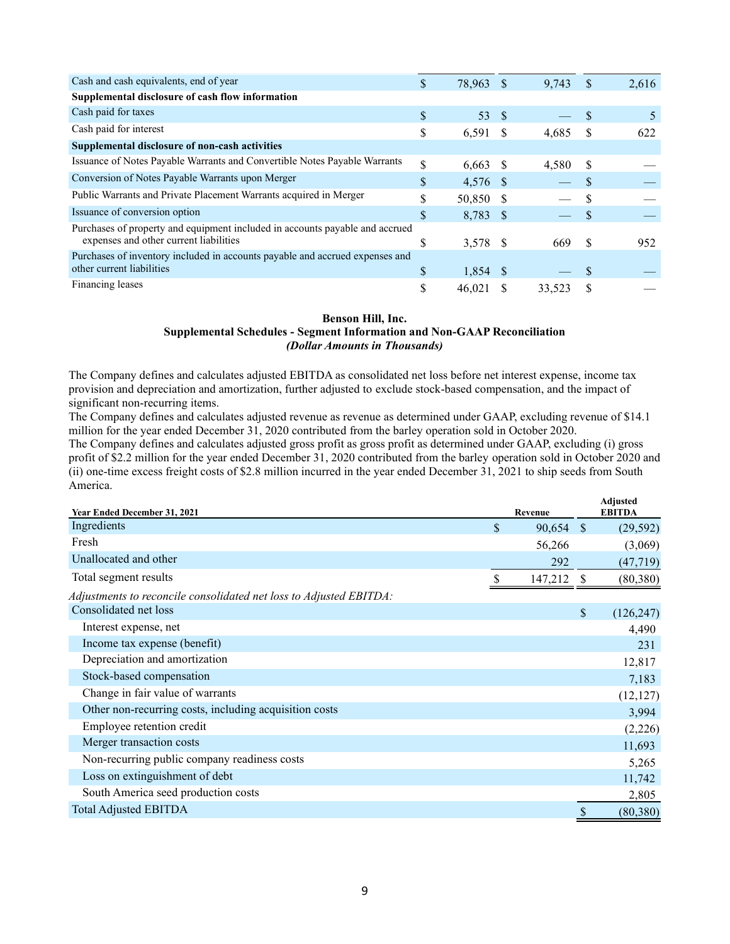| Cash and cash equivalents, end of year                                       | \$.           | 78,963 \$  |     | 9,743  | <sup>\$</sup> | 2,616 |
|------------------------------------------------------------------------------|---------------|------------|-----|--------|---------------|-------|
| Supplemental disclosure of cash flow information                             |               |            |     |        |               |       |
| Cash paid for taxes                                                          | \$            | 53         | - S |        |               | 5     |
| Cash paid for interest                                                       | \$            | 6,591      |     | 4.685  |               | 622   |
| Supplemental disclosure of non-cash activities                               |               |            |     |        |               |       |
| Issuance of Notes Payable Warrants and Convertible Notes Payable Warrants    | \$            | $6,663$ \$ |     | 4.580  | -S            |       |
| Conversion of Notes Payable Warrants upon Merger                             | $\mathcal{S}$ | 4,576 \$   |     |        |               |       |
| Public Warrants and Private Placement Warrants acquired in Merger            | S             | 50,850 \$  |     |        |               |       |
| Issuance of conversion option                                                | \$            | 8,783 \$   |     |        | <b>S</b>      |       |
| Purchases of property and equipment included in accounts payable and accrued |               |            |     |        |               |       |
| expenses and other current liabilities                                       | Ъ             | 3,578 \$   |     | 669    | -S            | 952   |
| Purchases of inventory included in accounts payable and accrued expenses and |               |            |     |        |               |       |
| other current liabilities                                                    | \$            | $1,854$ \$ |     |        |               |       |
| Financing leases                                                             | S             | 46,021     |     | 33.523 | S             |       |

#### **Benson Hill, Inc. Supplemental Schedules - Segment Information and Non-GAAP Reconciliation** *(Dollar Amounts in Thousands)*

The Company defines and calculates adjusted EBITDA as consolidated net loss before net interest expense, income tax provision and depreciation and amortization, further adjusted to exclude stock-based compensation, and the impact of significant non-recurring items.

The Company defines and calculates adjusted revenue as revenue as determined under GAAP, excluding revenue of \$14.1 million for the year ended December 31, 2020 contributed from the barley operation sold in October 2020.

The Company defines and calculates adjusted gross profit as gross profit as determined under GAAP, excluding (i) gross profit of \$2.2 million for the year ended December 31, 2020 contributed from the barley operation sold in October 2020 and (ii) one-time excess freight costs of \$2.8 million incurred in the year ended December 31, 2021 to ship seeds from South America.

| <b>Year Ended December 31, 2021</b>                                |    | Revenue |               | <b>Adjusted</b><br><b>EBITDA</b> |
|--------------------------------------------------------------------|----|---------|---------------|----------------------------------|
| Ingredients                                                        | \$ | 90,654  | $\sqrt{3}$    | (29, 592)                        |
| Fresh                                                              |    | 56,266  |               | (3,069)                          |
| Unallocated and other                                              |    | 292     |               | (47, 719)                        |
| Total segment results                                              | S  | 147,212 | $\mathcal{S}$ | (80, 380)                        |
| Adjustments to reconcile consolidated net loss to Adjusted EBITDA: |    |         |               |                                  |
| Consolidated net loss                                              |    |         | \$            | (126, 247)                       |
| Interest expense, net                                              |    |         |               | 4,490                            |
| Income tax expense (benefit)                                       |    |         |               | 231                              |
| Depreciation and amortization                                      |    |         |               | 12,817                           |
| Stock-based compensation                                           |    |         |               | 7,183                            |
| Change in fair value of warrants                                   |    |         |               | (12, 127)                        |
| Other non-recurring costs, including acquisition costs             |    |         |               | 3,994                            |
| Employee retention credit                                          |    |         |               | (2,226)                          |
| Merger transaction costs                                           |    |         |               | 11,693                           |
| Non-recurring public company readiness costs                       |    |         |               | 5,265                            |
| Loss on extinguishment of debt                                     |    |         |               | 11,742                           |
| South America seed production costs                                |    |         |               | 2,805                            |
| <b>Total Adjusted EBITDA</b>                                       |    |         | \$            | (80, 380)                        |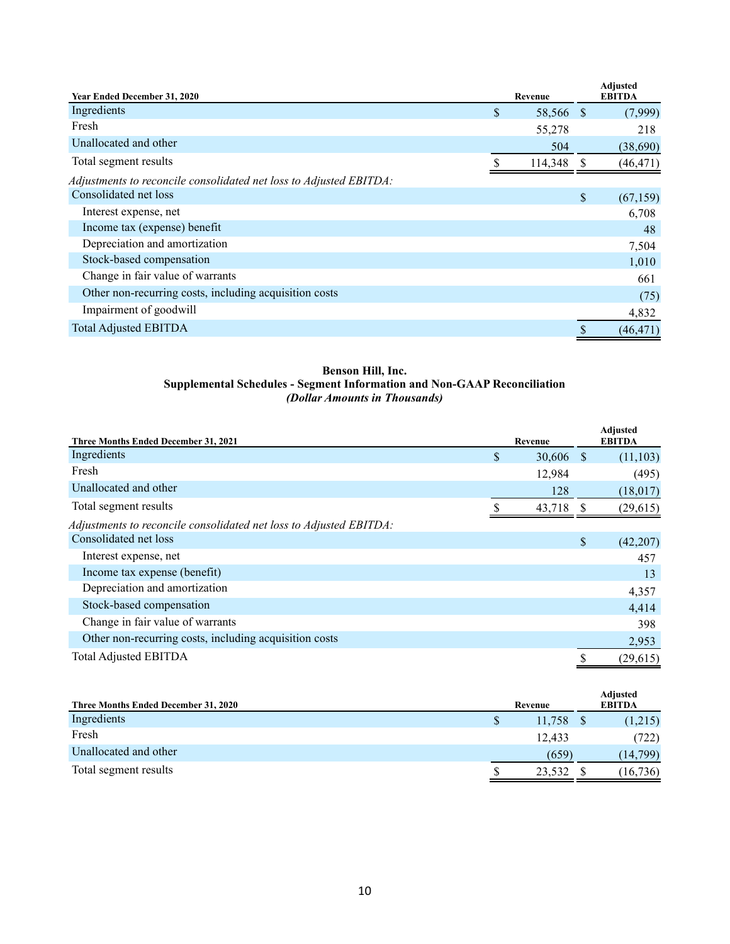| <b>Year Ended December 31, 2020</b>                                | Revenue         | <b>Adjusted</b><br><b>EBITDA</b> |
|--------------------------------------------------------------------|-----------------|----------------------------------|
| Ingredients                                                        | \$<br>58,566 \$ | (7,999)                          |
| Fresh                                                              | 55,278          | 218                              |
| Unallocated and other                                              | 504             | (38,690)                         |
| Total segment results                                              | 114,348         | (46, 471)                        |
| Adjustments to reconcile consolidated net loss to Adjusted EBITDA: |                 |                                  |
| Consolidated net loss                                              |                 | \$<br>(67, 159)                  |
| Interest expense, net                                              |                 | 6,708                            |
| Income tax (expense) benefit                                       |                 | 48                               |
| Depreciation and amortization                                      |                 | 7,504                            |
| Stock-based compensation                                           |                 | 1,010                            |
| Change in fair value of warrants                                   |                 | 661                              |
| Other non-recurring costs, including acquisition costs             |                 | (75)                             |
| Impairment of goodwill                                             |                 | 4,832                            |
| <b>Total Adjusted EBITDA</b>                                       |                 | (46, 471)                        |

# **Benson Hill, Inc. Supplemental Schedules - Segment Information and Non-GAAP Reconciliation** *(Dollar Amounts in Thousands)*

| Three Months Ended December 31, 2021                               | Revenue           | <b>Adjusted</b><br><b>EBITDA</b> |
|--------------------------------------------------------------------|-------------------|----------------------------------|
| Ingredients                                                        | \$<br>$30,606$ \$ | (11, 103)                        |
| Fresh                                                              | 12,984            | (495)                            |
| Unallocated and other                                              | 128               | (18,017)                         |
| Total segment results                                              | 43,718 \$         | (29, 615)                        |
| Adjustments to reconcile consolidated net loss to Adjusted EBITDA: |                   |                                  |
| Consolidated net loss                                              |                   | \$<br>(42, 207)                  |
| Interest expense, net                                              |                   | 457                              |
| Income tax expense (benefit)                                       |                   | 13                               |
| Depreciation and amortization                                      |                   | 4,357                            |
| Stock-based compensation                                           |                   | 4,414                            |
| Change in fair value of warrants                                   |                   | 398                              |
| Other non-recurring costs, including acquisition costs             |                   | 2,953                            |
| <b>Total Adjusted EBITDA</b>                                       |                   | (29, 615)                        |

| Three Months Ended December 31, 2020 |    | Revenue | Adjusted<br><b>EBITDA</b> |
|--------------------------------------|----|---------|---------------------------|
| Ingredients                          | \$ | 11,758  | (1,215)                   |
| Fresh                                |    | 12.433  | (722)                     |
| Unallocated and other                |    | (659)   | (14, 799)                 |
| Total segment results                | S  | 23,532  | (16, 736)                 |